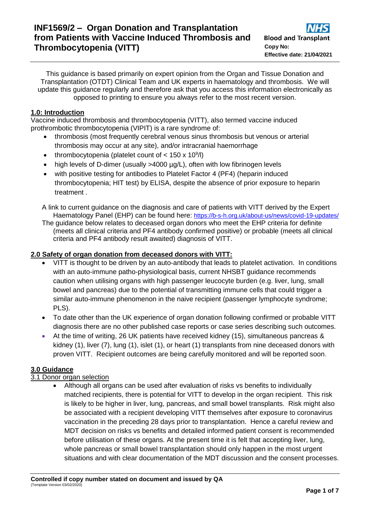This guidance is based primarily on expert opinion from the Organ and Tissue Donation and Transplantation (OTDT) Clinical Team and UK experts in haematology and thrombosis. We will update this guidance regularly and therefore ask that you access this information electronically as opposed to printing to ensure you always refer to the most recent version.

## **1.0: Introduction**

Vaccine induced thrombosis and thrombocytopenia (VITT), also termed vaccine induced prothrombotic thrombocytopenia (VIPIT) is a rare syndrome of:

- thrombosis (most frequently cerebral venous sinus thrombosis but venous or arterial thrombosis may occur at any site), and/or intracranial haemorrhage
- thrombocytopenia (platelet count of  $<$  150 x 10<sup>9</sup>/l)
- high levels of D-dimer (usually >4000 µg/L), often with low fibrinogen levels
- with positive testing for antibodies to Platelet Factor 4 (PF4) (heparin induced thrombocytopenia; HIT test) by ELISA, despite the absence of prior exposure to heparin treatment .

A link to current guidance on the diagnosis and care of patients with VITT derived by the Expert Haematology Panel (EHP) can be found here: [https://b-s-h.org.uk/about-us/news/covid-19-updates/](https://scanmail.trustwave.com/?c=8248&d=qv724Oi2vH1NsY1UKyPXvhlBj520UAdXo7kIZ2GWXQ&u=https%3a%2f%2fb-s-h%2eorg%2euk%2fabout-us%2fnews%2fcovid-19-updates%2f)

The guidance below relates to deceased organ donors who meet the EHP criteria for definite (meets all clinical criteria and PF4 antibody confirmed positive) or probable (meets all clinical criteria and PF4 antibody result awaited) diagnosis of VITT.

## **2.0 Safety of organ donation from deceased donors with VITT:**

- VITT is thought to be driven by an auto-antibody that leads to platelet activation. In conditions with an auto-immune patho-physiological basis, current NHSBT guidance recommends caution when utilising organs with high passenger leucocyte burden (e.g. liver, lung, small bowel and pancreas) due to the potential of transmitting immune cells that could trigger a similar auto-immune phenomenon in the naive recipient (passenger lymphocyte syndrome; PLS).
- To date other than the UK experience of organ donation following confirmed or probable VITT diagnosis there are no other published case reports or case series describing such outcomes.
- At the time of writing, 26 UK patients have received kidney (15), simultaneous pancreas & kidney (1), liver (7), lung (1), islet (1), or heart (1) transplants from nine deceased donors with proven VITT. Recipient outcomes are being carefully monitored and will be reported soon.

# **3.0 Guidance**

## 3.1 Donor organ selection

 Although all organs can be used after evaluation of risks vs benefits to individually matched recipients, there is potential for VITT to develop in the organ recipient. This risk is likely to be higher in liver, lung, pancreas, and small bowel transplants. Risk might also be associated with a recipient developing VITT themselves after exposure to coronavirus vaccination in the preceding 28 days prior to transplantation. Hence a careful review and MDT decision on risks vs benefits and detailed informed patient consent is recommended before utilisation of these organs. At the present time it is felt that accepting liver, lung, whole pancreas or small bowel transplantation should only happen in the most urgent situations and with clear documentation of the MDT discussion and the consent processes.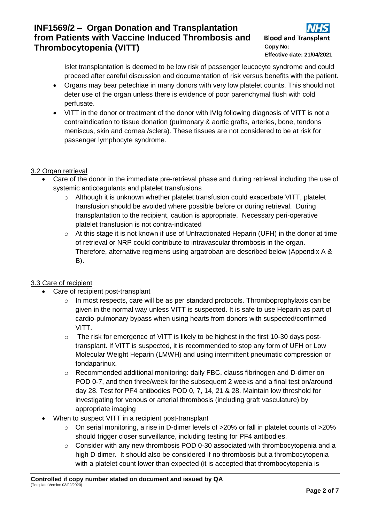Islet transplantation is deemed to be low risk of passenger leucocyte syndrome and could proceed after careful discussion and documentation of risk versus benefits with the patient.

- Organs may bear petechiae in many donors with very low platelet counts. This should not deter use of the organ unless there is evidence of poor parenchymal flush with cold perfusate.
- VITT in the donor or treatment of the donor with IVIg following diagnosis of VITT is not a contraindication to tissue donation (pulmonary & aortic grafts, arteries, bone, tendons meniscus, skin and cornea /sclera). These tissues are not considered to be at risk for passenger lymphocyte syndrome.

# 3.2 Organ retrieval

- Care of the donor in the immediate pre-retrieval phase and during retrieval including the use of systemic anticoagulants and platelet transfusions
	- $\circ$  Although it is unknown whether platelet transfusion could exacerbate VITT, platelet transfusion should be avoided where possible before or during retrieval. During transplantation to the recipient, caution is appropriate. Necessary peri-operative platelet transfusion is not contra-indicated
	- $\circ$  At this stage it is not known if use of Unfractionated Heparin (UFH) in the donor at time of retrieval or NRP could contribute to intravascular thrombosis in the organ. Therefore, alternative regimens using argatroban are described below (Appendix A & B).

# 3.3 Care of recipient

- Care of recipient post-transplant
	- o In most respects, care will be as per standard protocols. Thromboprophylaxis can be given in the normal way unless VITT is suspected. It is safe to use Heparin as part of cardio-pulmonary bypass when using hearts from donors with suspected/confirmed VITT.
	- $\circ$  The risk for emergence of VITT is likely to be highest in the first 10-30 days posttransplant. If VITT is suspected, it is recommended to stop any form of UFH or Low Molecular Weight Heparin (LMWH) and using intermittent pneumatic compression or fondaparinux.
	- o Recommended additional monitoring: daily FBC, clauss fibrinogen and D-dimer on POD 0-7, and then three/week for the subsequent 2 weeks and a final test on/around day 28. Test for PF4 antibodies POD 0, 7, 14, 21 & 28. Maintain low threshold for investigating for venous or arterial thrombosis (including graft vasculature) by appropriate imaging
- When to suspect VITT in a recipient post-transplant
	- $\circ$  On serial monitoring, a rise in D-dimer levels of >20% or fall in platelet counts of >20% should trigger closer surveillance, including testing for PF4 antibodies.
	- o Consider with any new thrombosis POD 0-30 associated with thrombocytopenia and a high D-dimer. It should also be considered if no thrombosis but a thrombocytopenia with a platelet count lower than expected (it is accepted that thrombocytopenia is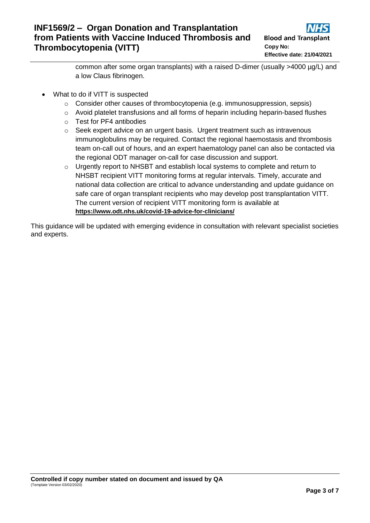common after some organ transplants) with a raised D-dimer (usually >4000 µg/L) and a low Claus fibrinogen.

- What to do if VITT is suspected
	- o Consider other causes of thrombocytopenia (e.g. immunosuppression, sepsis)
	- $\circ$  Avoid platelet transfusions and all forms of heparin including heparin-based flushes
	- o Test for PF4 antibodies
	- o Seek expert advice on an urgent basis. Urgent treatment such as intravenous immunoglobulins may be required. Contact the regional haemostasis and thrombosis team on-call out of hours, and an expert haematology panel can also be contacted via the regional ODT manager on-call for case discussion and support.
	- o Urgently report to NHSBT and establish local systems to complete and return to NHSBT recipient VITT monitoring forms at regular intervals. Timely, accurate and national data collection are critical to advance understanding and update guidance on safe care of organ transplant recipients who may develop post transplantation VITT. The current version of recipient VITT monitoring form is available at **<https://www.odt.nhs.uk/covid-19-advice-for-clinicians/>**

This guidance will be updated with emerging evidence in consultation with relevant specialist societies and experts.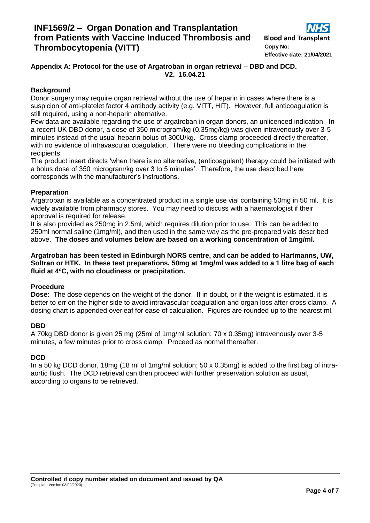## **Appendix A: Protocol for the use of Argatroban in organ retrieval – DBD and DCD. V2. 16.04.21**

## **Background**

Donor surgery may require organ retrieval without the use of heparin in cases where there is a suspicion of anti-platelet factor 4 antibody activity (e.g. VITT, HIT). However, full anticoagulation is still required, using a non-heparin alternative.

Few data are available regarding the use of argatroban in organ donors, an unlicenced indication. In a recent UK DBD donor, a dose of 350 microgram/kg (0.35mg/kg) was given intravenously over 3-5 minutes instead of the usual heparin bolus of 300U/kg. Cross clamp proceeded directly thereafter, with no evidence of intravascular coagulation. There were no bleeding complications in the recipients.

The product insert directs 'when there is no alternative, (anticoagulant) therapy could be initiated with a bolus dose of 350 microgram/kg over 3 to 5 minutes'. Therefore, the use described here corresponds with the manufacturer's instructions.

### **Preparation**

Argatroban is available as a concentrated product in a single use vial containing 50mg in 50 ml. It is widely available from pharmacy stores. You may need to discuss with a haematologist if their approval is required for release.

It is also provided as 250mg in 2.5ml, which requires dilution prior to use. This can be added to 250ml normal saline (1mg/ml), and then used in the same way as the pre-prepared vials described above. **The doses and volumes below are based on a working concentration of 1mg/ml.**

#### **Argatroban has been tested in Edinburgh NORS centre, and can be added to Hartmanns, UW, Soltran or HTK. In these test preparations, 50mg at 1mg/ml was added to a 1 litre bag of each fluid at 4<sup>o</sup>C, with no cloudiness or precipitation.**

### **Procedure**

**Dose:** The dose depends on the weight of the donor. If in doubt, or if the weight is estimated, it is better to err on the higher side to avoid intravascular coagulation and organ loss after cross clamp. A dosing chart is appended overleaf for ease of calculation. Figures are rounded up to the nearest ml.

### **DBD**

A 70kg DBD donor is given 25 mg (25ml of 1mg/ml solution; 70 x 0.35mg) intravenously over 3-5 minutes, a few minutes prior to cross clamp. Proceed as normal thereafter.

### **DCD**

In a 50 kg DCD donor, 18mg (18 ml of 1mg/ml solution; 50 x 0.35mg) is added to the first bag of intraaortic flush. The DCD retrieval can then proceed with further preservation solution as usual, according to organs to be retrieved.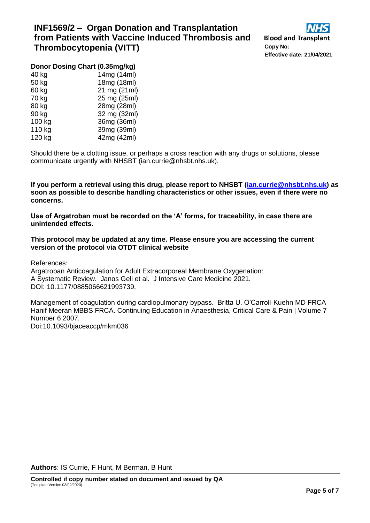| Donor Dosing Chart (0.35mg/kg) |              |
|--------------------------------|--------------|
| 40 kg                          | 14mg (14ml)  |
| 50 kg                          | 18mg (18ml)  |
| 60 kg                          | 21 mg (21ml) |
| 70 kg                          | 25 mg (25ml) |
| 80 kg                          | 28mg (28ml)  |
| 90 kg                          | 32 mg (32ml) |
| 100 kg                         | 36mg (36ml)  |
| 110 kg                         | 39mg (39ml)  |
| 120 kg                         | 42mg (42ml)  |

Should there be a clotting issue, or perhaps a cross reaction with any drugs or solutions, please communicate urgently with NHSBT (ian.currie@nhsbt.nhs.uk).

**If you perform a retrieval using this drug, please report to NHSBT [\(ian.currie@nhsbt.nhs.uk\)](mailto:ian.currie@nhsbt.nhs.uk) as soon as possible to describe handling characteristics or other issues, even if there were no concerns.**

**Use of Argatroban must be recorded on the 'A' forms, for traceability, in case there are unintended effects.**

**This protocol may be updated at any time. Please ensure you are accessing the current version of the protocol via OTDT clinical website**

References:

Argatroban Anticoagulation for Adult Extracorporeal Membrane Oxygenation: A Systematic Review. Janos Geli et al. J Intensive Care Medicine 2021. DOI: 10.1177/0885066621993739.

Management of coagulation during cardiopulmonary bypass. Britta U. O'Carroll-Kuehn MD FRCA Hanif Meeran MBBS FRCA. Continuing Education in Anaesthesia, Critical Care & Pain | Volume 7 Number 6 2007.

Doi:10.1093/bjaceaccp/mkm036

**Authors**: IS Currie, F Hunt, M Berman, B Hunt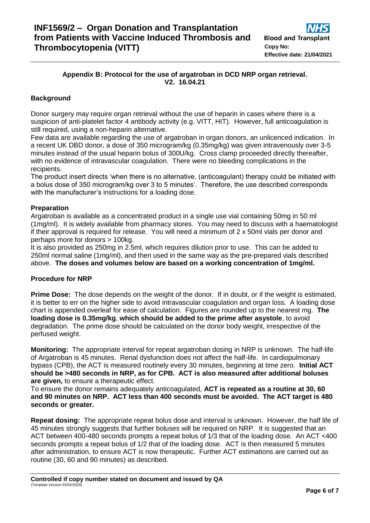# **Appendix B: Protocol for the use of argatroban in DCD NRP organ retrieval. V2. 16.04.21**

# **Background**

Donor surgery may require organ retrieval without the use of heparin in cases where there is a suspicion of anti-platelet factor 4 antibody activity (e.g. VITT, HIT). However, full anticoagulation is still required, using a non-heparin alternative.

Few data are available regarding the use of argatroban in organ donors, an unlicenced indication. In a recent UK DBD donor, a dose of 350 microgram/kg (0.35mg/kg) was given intravenously over 3-5 minutes instead of the usual heparin bolus of 300U/kg. Cross clamp proceeded directly thereafter, with no evidence of intravascular coagulation. There were no bleeding complications in the recipients.

The product insert directs 'when there is no alternative, (anticoagulant) therapy could be initiated with a bolus dose of 350 microgram/kg over 3 to 5 minutes'. Therefore, the use described corresponds with the manufacturer's instructions for a loading dose.

#### **Preparation**

Argatroban is available as a concentrated product in a single use vial containing 50mg in 50 ml (1mg/ml). It is widely available from pharmacy stores. You may need to discuss with a haematologist if their approval is required for release. You will need a minimum of 2 x 50ml vials per donor and perhaps more for donors > 100kg.

It is also provided as 250mg in 2.5ml, which requires dilution prior to use. This can be added to 250ml normal saline (1mg/ml), and then used in the same way as the pre-prepared vials described above. **The doses and volumes below are based on a working concentration of 1mg/ml.**

### **Procedure for NRP**

**Prime Dose:** The dose depends on the weight of the donor. If in doubt, or if the weight is estimated, it is better to err on the higher side to avoid intravascular coagulation and organ loss. A loading dose chart is appended overleaf for ease of calculation. Figures are rounded up to the nearest mg. **The loading dose is 0.35mg/kg**, **which should be added to the prime after asystole**, to avoid degradation. The prime dose should be calculated on the donor body weight, irrespective of the perfused weight.

**Monitoring:** The appropriate interval for repeat argatroban dosing in NRP is unknown. The half-life of Argatroban is 45 minutes. Renal dysfunction does not affect the half-life. In cardiopulmonary bypass (CPB), the ACT is measured routinely every 30 minutes, beginning at time zero. **Initial ACT should be >480 seconds in NRP, as for CPB. ACT is also measured after additional boluses are given,** to ensure a therapeutic effect.

To ensure the donor remains adequately anticoagulated, **ACT is repeated as a routine at 30, 60 and 90 minutes on NRP. ACT less than 400 seconds must be avoided. The ACT target is 480 seconds or greater.**

**Repeat dosing:** The appropriate repeat bolus dose and interval is unknown. However, the half life of 45 minutes strongly suggests that further boluses will be required on NRP. It is suggested that an ACT between 400-480 seconds prompts a repeat bolus of 1/3 that of the loading dose. An ACT <400 seconds prompts a repeat bolus of 1/2 that of the loading dose. ACT is then measured 5 minutes after administration, to ensure ACT is now therapeutic. Further ACT estimations are carried out as routine (30, 60 and 90 minutes) as described.